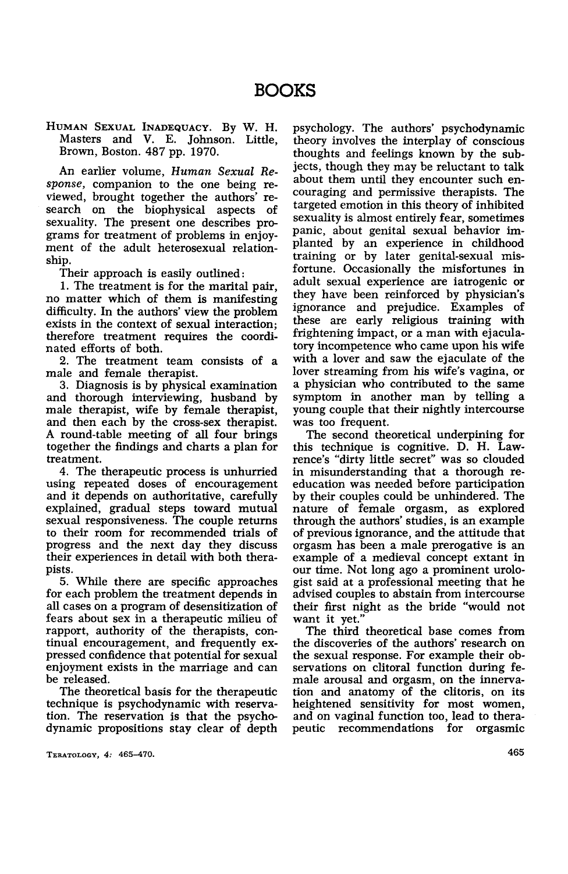HUMAN SEXUAL INADEQUACY. By **W. H.**  Masters and V. E. Johnson. Little, Brown, Boston. **487** pp. 1970.

An earlier volume, *Human Sexual Response,* companion to the one being reviewed, brought together the authors' research on the biophysical aspects of sexuality. The present one describes programs for treatment of problems in enjoyment of the adult heterosexual relationship.

Their approach is easily outlined:

**1.** The treatment is for the marital pair, no matter which of them is manifesting difficulty. In the authors' view the problem exists in the context of sexual interaction; therefore treatment requires the coordinated efforts of both.

*2.* The treatment team consists of a male and female therapist.

**3.** Diagnosis is by physical examination and thorough interviewing, husband by male therapist, wife by female therapist, and then each by the cross-sex therapist. **A** round-table meeting of **all** four brings together the findings and charts a plan for treatment.

4. The therapeutic process is unhurried using repeated doses of encouragement and it depends on authoritative, carefully explained, gradual steps toward mutual sexual responsiveness. The couple returns to their room for recommended trials **of**  progress and the next day they discuss their experiences in detail with both therapists.

5. While there are specific approaches for each problem the treatment depends in all cases on a program of desensitization of fears about sex in **a** therapeutic milieu **of**  rapport, authority of the therapists, continual encouragement, and frequently expressed confidence that potential for sexual enjoyment exists in the marriage and can be released.

The theoretical basis for the therapeutic technique is psychodynamic with reservation. The reservation is that the psychodynamic propositions stay clear of depth psychology. The authors' psychodynamic theory involves the interplay of conscious thoughts and feelings known by the subjects, though they may be reluctant to talk about them until they encounter such encouraging and permissive therapists. The targeted emotion in this theory of inhibited sexuality is almost entirely fear, sometimes panic, about genital sexual behavior implanted by an experience in childhood training **or** by later genital-sexual misfortune. Occasionally the misfortunes in adult sexual experience are iatrogenic **or**  they have been reinforced by physician's ignorance and prejudice. Examples of these are early religious training with frightening impact, **or** a man with ejaculatory incompetence who came upon his wife with a lover and saw the ejaculate of the lover streaming from his wife's vagina, **or**  a physician who contributed to the same symptom in another man by telling a young couple that their nightly intercourse was too frequent.

The second theoretical underpining for this technique is cognitive. D. H. Lawrence's "dirty little secret" was *so* clouded in misunderstanding that a thorough reeducation was needed before participation by their couples could be unhindered. The nature of female orgasm, as explored through the authors' studies, is an example of previous ignorance, and the attitude that orgasm has been a male prerogative is an example of a medieval concept extant in our time. Not long ago a prominent urologist said at a professional meeting that he advised couples to abstain from intercourse their first night as the bride "would not want it yet."

The third theoretical base comes from the discoveries of the authors' research on the sexual response. **For** example their observations on clitoral function during female arousal and orgasm, on the innervation and anatomy of the clitoris, on its heightened sensitivity for most women, and on vaginal function too, lead to therapeutic recommendations for orgasmic

**TERATOLOGY, 4: 465-470. 465**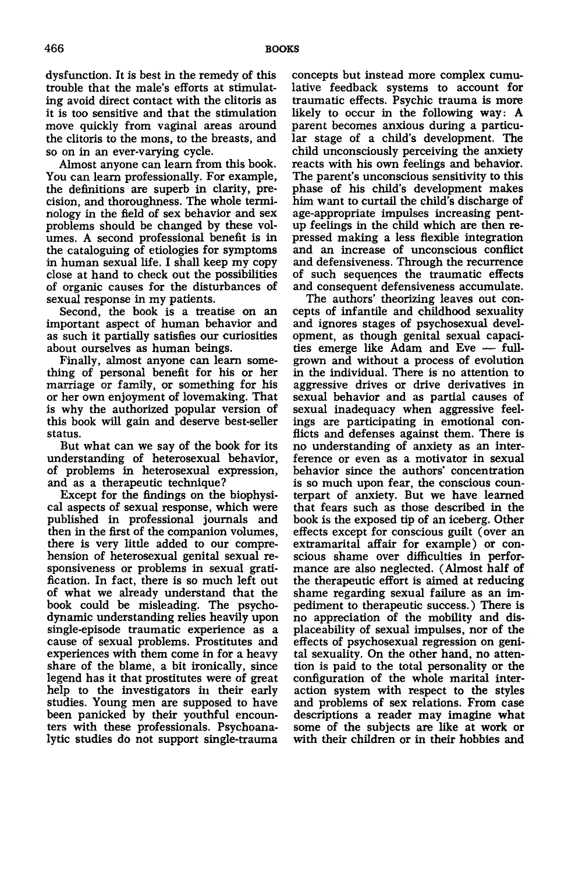dysfunction. It is best in the remedy of this trouble that the male's efforts at stimulating avoid direct contact with the clitoris as it is too sensitive and that the stimulation move quickly from vaginal areas around the clitoris to the mons, to the breasts, and so on in an ever-varying cycle.

Almost anyone can learn from this book. You can learn professionally. For example, the definitions are superb in clarity, precision, and thoroughness. The whole terminology in the field of sex behavior and sex problems should be changed by these volumes. A second professional benefit is in the cataloguing of etiologies for symptoms in human sexual life. I shall keep my copy close at hand to check out the possibilities of organic causes for the disturbances of sexual response in my patients.

Second, the book is a treatise on an important aspect of human behavior and as such it partially satisfies our curiosities about ourselves as human beings.

Finally, almost anyone can learn something of personal benefit for his or her marriage or family, or something for his or her own enjoyment of lovemaking. That is why the authorized popular version of this book will gain and deserve best-seller status.

But what can we say of the **book** for its understanding of heterosexual behavior, of problems in heterosexual expression, and as a therapeutic technique?

Except for the findings on the biophysical aspects of sexual response, which were published in professional journals and then in the first of the companion volumes, there is very little added to our comprehension of heterosexual genital sexual responsiveness or problems in sexual gratification. In fact, there is so much left out of what we already understand that the book could be misleading. The psychodynamic understanding relies heavily upon single-episode traumatic experience as a cause of sexual problems. Prostitutes and experiences with them come in for a heavy share of the blame, a bit ironically, since legend has it that prostitutes were of great help to the investigators **in** their early studies. Young men are supposed to have been panicked by their youthful encounters with these professionals. Psychoanalytic studies do not support single-trauma

concepts but instead more complex cumulative feedback systems to account for traumatic effects. Psychic trauma is more likely to occur in the following way: A parent becomes anxious during a particular stage of a child's development. The child unconsciously perceiving the anxiety reacts with his own feelings and behavior. The parent's unconscious sensitivity to this phase of his child's development makes him want to curtail the child's discharge of age-appropriate impulses increasing pentup feelings in the child which are then repressed making a less flexible integration and an increase of unconscious conflict and defensiveness. Through the recurrence of such sequences the traumatic effects and consequent defensiveness accumulate.

The authors' theorizing leaves out concepts of infantile and childhood sexuality and ignores stages of psychosexual development, as though genital sexual capacities emerge like Adam and Eve - fullgrown and without a process of evolution in the individual. There is no attention to aggressive drives or drive derivatives in sexual behavior and as partial causes of sexual inadequacy when aggressive feelings are participating in emotional conflicts and defenses against them. There is no understanding of anxiety as an interference or even as a motivator in sexual behavior since the authors' concentration is so much upon fear, the conscious counterpart of anxiety. But we have learned that fears such as those described in the book is the exposed tip of an iceberg. Other effects except for conscious guilt (over an extramarital affair for example) or conscious shame over difficulties in performance are also neglected. (Almost half of the therapeutic effort is aimed at reducing shame regarding sexual failure as an impediment to therapeutic success.) There is no appreciation of the mobility and displaceability of sexual impulses, nor of the effects of psychosexual regression on genital sexuality. On the other hand, no attention is paid to the total personality or the configuration of the whole marital interaction system with respect to the styles and problems of sex relations. From case descriptions a reader may imagine what some of the subjects **are** like at work or with their children or in their hobbies and